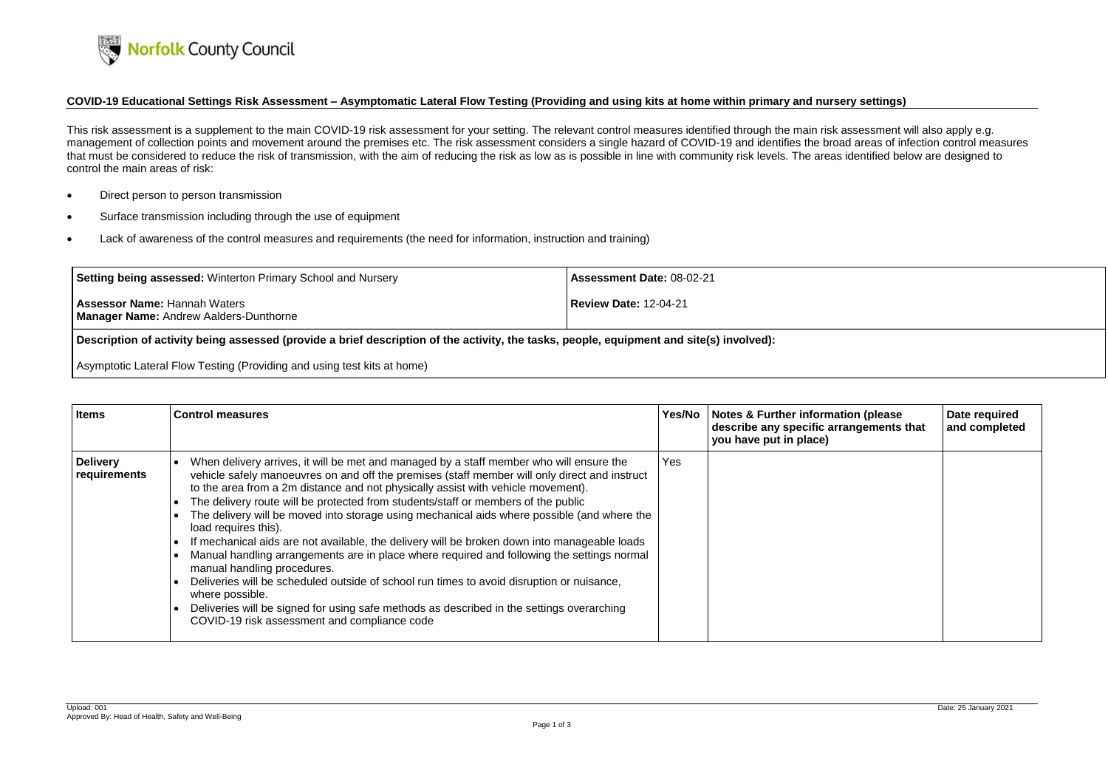

## COVID-19 Educational Settings Risk Assessment - Asymptomatic Lateral Flow Testing (Providing and using kits at home within primary and nursery settings)

- Direct person to person transmission
- Surface transmission including through the use of equipment
- Lack of awareness of the control measures and requirements (the need for information, instruction and training)

This risk assessment is a supplement to the main COVID-19 risk assessment for your setting. The relevant control measures identified through the main risk assessment will also apply e.g. management of collection points and movement around the premises etc. The risk assessment considers a single hazard of COVID-19 and identifies the broad areas of infection control measures that must be considered to reduce the risk of transmission, with the aim of reducing the risk as low as is possible in line with community risk levels. The areas identified below are designed to control the main areas of risk:

| Setting being assessed: Winterton Primary School and Nursery                         | <b>Assessment Date: 08-02-21</b> |
|--------------------------------------------------------------------------------------|----------------------------------|
| <b>Assessor Name: Hannah Waters</b><br><b>Manager Name: Andrew Aalders-Dunthorne</b> | <b>Review Date: 12-04-21</b>     |
| .<br>.                                                                               | .                                |

Description of activity being assessed (provide a brief description of the activity, the tasks, people, equipment and site(s) involved):

Asymptotic Lateral Flow Testing (Providing and using test kits at home)

| <b>Items</b>                    | <b>Control measures</b>                                                                                                                                                                                                                                                                                                                                                                                                                                                                                                                                                                                                                                                                                                                                                                                                                                                                                                                                                            |            | Yes/No   Notes & Further information (please<br>describe any specific arrangements that<br>you have put in place) | Date required<br>and completed |
|---------------------------------|------------------------------------------------------------------------------------------------------------------------------------------------------------------------------------------------------------------------------------------------------------------------------------------------------------------------------------------------------------------------------------------------------------------------------------------------------------------------------------------------------------------------------------------------------------------------------------------------------------------------------------------------------------------------------------------------------------------------------------------------------------------------------------------------------------------------------------------------------------------------------------------------------------------------------------------------------------------------------------|------------|-------------------------------------------------------------------------------------------------------------------|--------------------------------|
| <b>Delivery</b><br>requirements | When delivery arrives, it will be met and managed by a staff member who will ensure the<br>vehicle safely manoeuvres on and off the premises (staff member will only direct and instruct<br>to the area from a 2m distance and not physically assist with vehicle movement).<br>The delivery route will be protected from students/staff or members of the public<br>The delivery will be moved into storage using mechanical aids where possible (and where the<br>load requires this).<br>If mechanical aids are not available, the delivery will be broken down into manageable loads<br>Manual handling arrangements are in place where required and following the settings normal<br>manual handling procedures.<br>Deliveries will be scheduled outside of school run times to avoid disruption or nuisance,<br>where possible.<br>Deliveries will be signed for using safe methods as described in the settings overarching<br>COVID-19 risk assessment and compliance code | <b>Yes</b> |                                                                                                                   |                                |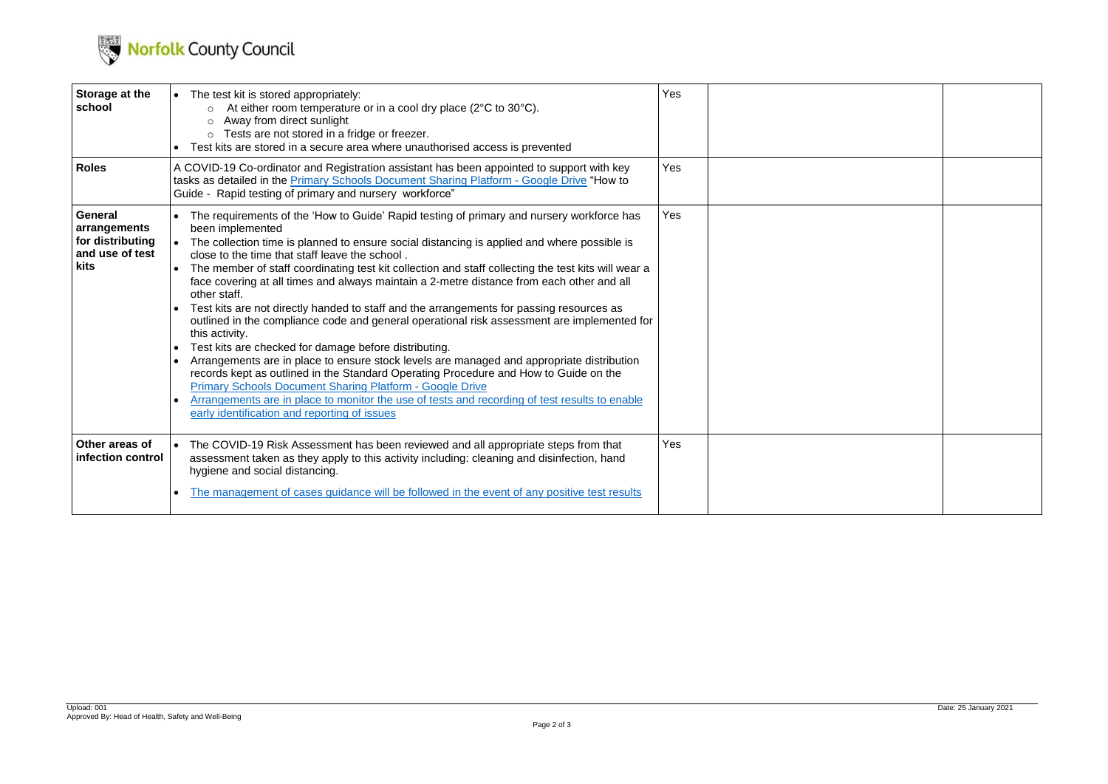

| Storage at the<br>school                                               | • The test kit is stored appropriately:<br>At either room temperature or in a cool dry place ( $2^{\circ}$ C to $30^{\circ}$ C).<br>Away from direct sunlight<br>o Tests are not stored in a fridge or freezer.<br>Test kits are stored in a secure area where unauthorised access is prevented                                                                                                                                                                                                                                                                                                                                                                                                                                                                                                                                                                                                                                                                                                                                                                                                                                                                     | Yes        |  |
|------------------------------------------------------------------------|---------------------------------------------------------------------------------------------------------------------------------------------------------------------------------------------------------------------------------------------------------------------------------------------------------------------------------------------------------------------------------------------------------------------------------------------------------------------------------------------------------------------------------------------------------------------------------------------------------------------------------------------------------------------------------------------------------------------------------------------------------------------------------------------------------------------------------------------------------------------------------------------------------------------------------------------------------------------------------------------------------------------------------------------------------------------------------------------------------------------------------------------------------------------|------------|--|
| <b>Roles</b>                                                           | A COVID-19 Co-ordinator and Registration assistant has been appointed to support with key<br>tasks as detailed in the Primary Schools Document Sharing Platform - Google Drive "How to<br>Guide - Rapid testing of primary and nursery workforce"                                                                                                                                                                                                                                                                                                                                                                                                                                                                                                                                                                                                                                                                                                                                                                                                                                                                                                                   | Yes        |  |
| General<br>arrangements<br>for distributing<br>and use of test<br>kits | The requirements of the 'How to Guide' Rapid testing of primary and nursery workforce has<br>been implemented<br>• The collection time is planned to ensure social distancing is applied and where possible is<br>close to the time that staff leave the school.<br>The member of staff coordinating test kit collection and staff collecting the test kits will wear a<br>face covering at all times and always maintain a 2-metre distance from each other and all<br>other staff.<br>Test kits are not directly handed to staff and the arrangements for passing resources as<br>outlined in the compliance code and general operational risk assessment are implemented for<br>this activity.<br>Test kits are checked for damage before distributing.<br>Arrangements are in place to ensure stock levels are managed and appropriate distribution<br>records kept as outlined in the Standard Operating Procedure and How to Guide on the<br><b>Primary Schools Document Sharing Platform - Google Drive</b><br>Arrangements are in place to monitor the use of tests and recording of test results to enable<br>early identification and reporting of issues | <b>Yes</b> |  |
| Other areas of<br>infection control                                    | The COVID-19 Risk Assessment has been reviewed and all appropriate steps from that<br>assessment taken as they apply to this activity including: cleaning and disinfection, hand<br>hygiene and social distancing.                                                                                                                                                                                                                                                                                                                                                                                                                                                                                                                                                                                                                                                                                                                                                                                                                                                                                                                                                  | <b>Yes</b> |  |
|                                                                        | The management of cases guidance will be followed in the event of any positive test results                                                                                                                                                                                                                                                                                                                                                                                                                                                                                                                                                                                                                                                                                                                                                                                                                                                                                                                                                                                                                                                                         |            |  |